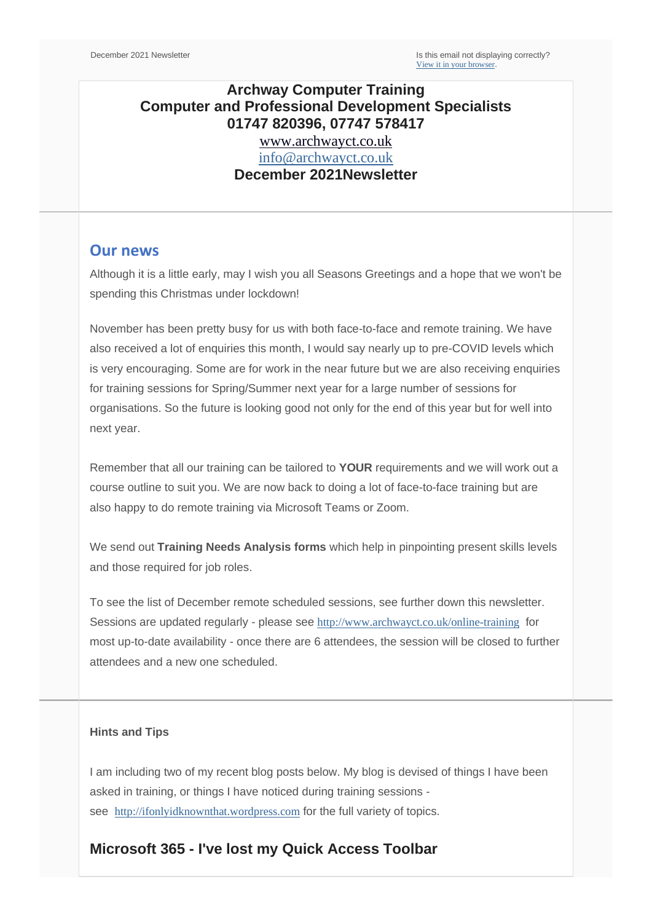## **Archway Computer Training Computer and Professional Development Specialists 01747 820396, 07747 578417**

[www.archwayct.co.uk](http://www.archwayct.co.uk/) [info@archwayct.co.uk](mailto:%20info@archwayct.co.uk) **December 2021Newsletter**

#### **Our news**

Although it is a little early, may I wish you all Seasons Greetings and a hope that we won't be spending this Christmas under lockdown!

November has been pretty busy for us with both face-to-face and remote training. We have also received a lot of enquiries this month, I would say nearly up to pre-COVID levels which is very encouraging. Some are for work in the near future but we are also receiving enquiries for training sessions for Spring/Summer next year for a large number of sessions for organisations. So the future is looking good not only for the end of this year but for well into next year.

Remember that all our training can be tailored to **YOUR** requirements and we will work out a course outline to suit you. We are now back to doing a lot of face-to-face training but are also happy to do remote training via Microsoft Teams or Zoom.

We send out **Training Needs Analysis forms** which help in pinpointing present skills levels and those required for job roles.

To see the list of December remote scheduled sessions, see further down this newsletter. Sessions are updated regularly - please see <http://www.archwayct.co.uk/online-training> for most up-to-date availability - once there are 6 attendees, the session will be closed to further attendees and a new one scheduled.

#### **Hints and Tips**

I am including two of my recent blog posts below. My blog is devised of things I have been asked in training, or things I have noticed during training sessions see [http://ifonlyidknownthat.wordpress.com](http://ifonlyidknownthat.wordpress.com/) for the full variety of topics.

### **Microsoft 365 - I've lost my Quick Access Toolbar**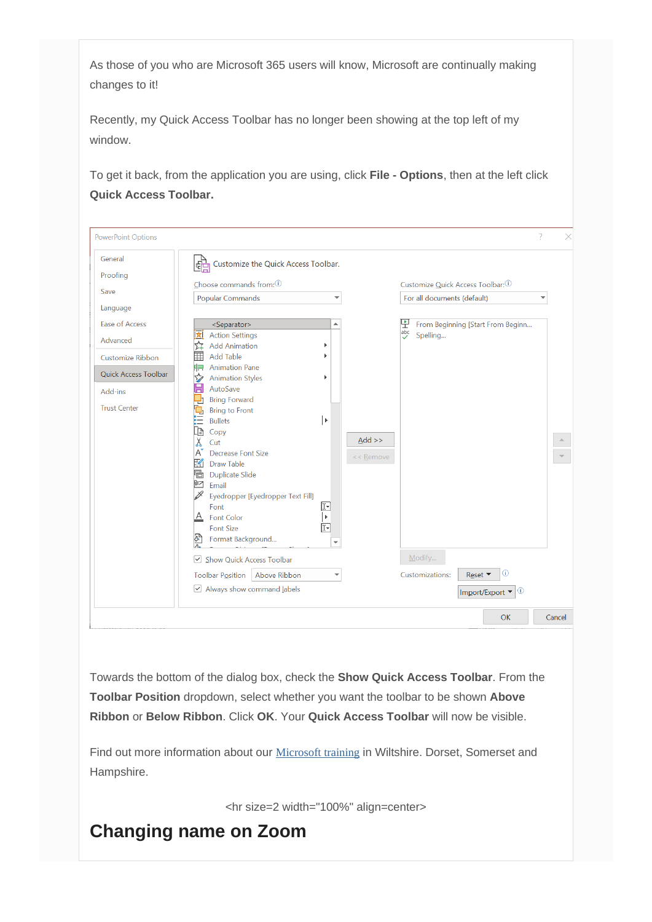As those of you who are Microsoft 365 users will know, Microsoft are continually making changes to it!

Recently, my Quick Access Toolbar has no longer been showing at the top left of my window.

To get it back, from the application you are using, click **File - Options**, then at the left click **Quick Access Toolbar.**

| <b>PowerPoint Options</b> |                                        |                          |           |                                                   | $\gamma$ |        |
|---------------------------|----------------------------------------|--------------------------|-----------|---------------------------------------------------|----------|--------|
| General                   | 다고 Customize the Quick Access Toolbar. |                          |           |                                                   |          |        |
| Proofing                  |                                        |                          |           |                                                   |          |        |
| Save                      | Choose commands from: 1                |                          |           | Customize Quick Access Toolbar: 1                 |          |        |
|                           | Popular Commands                       |                          |           | For all documents (default)                       |          |        |
| Language                  |                                        |                          |           |                                                   |          |        |
| <b>Ease of Access</b>     | <separator></separator>                | A                        |           | 뿌<br>From Beginning [Start From Beginn            |          |        |
| Advanced                  | <b>Action Settings</b>                 |                          |           | $\overline{\smash{\bigtriangledown}}$<br>Spelling |          |        |
|                           | <b>Add Animation</b>                   | ь                        |           |                                                   |          |        |
| Customize Ribbon          | <b>Add Table</b>                       |                          |           |                                                   |          |        |
|                           | <b>Animation Pane</b><br>92            |                          |           |                                                   |          |        |
| Quick Access Toolbar      | <b>Animation Styles</b><br>50          | Þ                        |           |                                                   |          |        |
| Add-ins                   | H<br>AutoSave                          |                          |           |                                                   |          |        |
|                           | <b>Bring Forward</b>                   |                          |           |                                                   |          |        |
| <b>Trust Center</b>       | <b>Bring to Front</b>                  |                          |           |                                                   |          |        |
|                           | <b>Bullets</b>                         | l۴                       |           |                                                   |          |        |
|                           | Lè<br>Copy                             |                          |           |                                                   |          |        |
|                           | X<br>Cut                               |                          | $Add$ >>  |                                                   |          |        |
|                           | $A^{\check{}}$<br>Decrease Font Size   |                          | << Remove |                                                   |          |        |
|                           | K<br><b>Draw Table</b>                 |                          |           |                                                   |          |        |
|                           | 唈<br><b>Duplicate Slide</b>            |                          |           |                                                   |          |        |
|                           | pη<br>Email                            |                          |           |                                                   |          |        |
|                           | Þ<br>Eyedropper [Eyedropper Text Fill] |                          |           |                                                   |          |        |
|                           | Font                                   | œ                        |           |                                                   |          |        |
|                           | $\overline{A}$ Font Color              | $\mathbf{F}$             |           |                                                   |          |        |
|                           | <b>Font Size</b>                       | 囸                        |           |                                                   |          |        |
|                           | s,<br>Format Background                | $\overline{\phantom{a}}$ |           |                                                   |          |        |
|                           | Show Quick Access Toolbar              |                          |           | Modify                                            |          |        |
|                           | Toolbar Position<br>Above Ribbon       |                          |           | $\circ$<br>Customizations:<br>Reset ▼             |          |        |
|                           | $\vee$ Always show command labels      |                          |           | Import/Export ▼<br>ТO                             |          |        |
|                           |                                        |                          |           |                                                   |          |        |
|                           |                                        |                          |           | <b>OK</b>                                         |          | Cancel |

Towards the bottom of the dialog box, check the **Show Quick Access Toolbar**. From the **Toolbar Position** dropdown, select whether you want the toolbar to be shown **Above Ribbon** or **Below Ribbon**. Click **OK**. Your **Quick Access Toolbar** will now be visible.

Find out more information about our [Microsoft training](http://www.archwayct.co.uk/microsoft-office-training) in Wiltshire. Dorset, Somerset and Hampshire.

<hr size=2 width="100%" align=center>

# **Changing name on Zoom**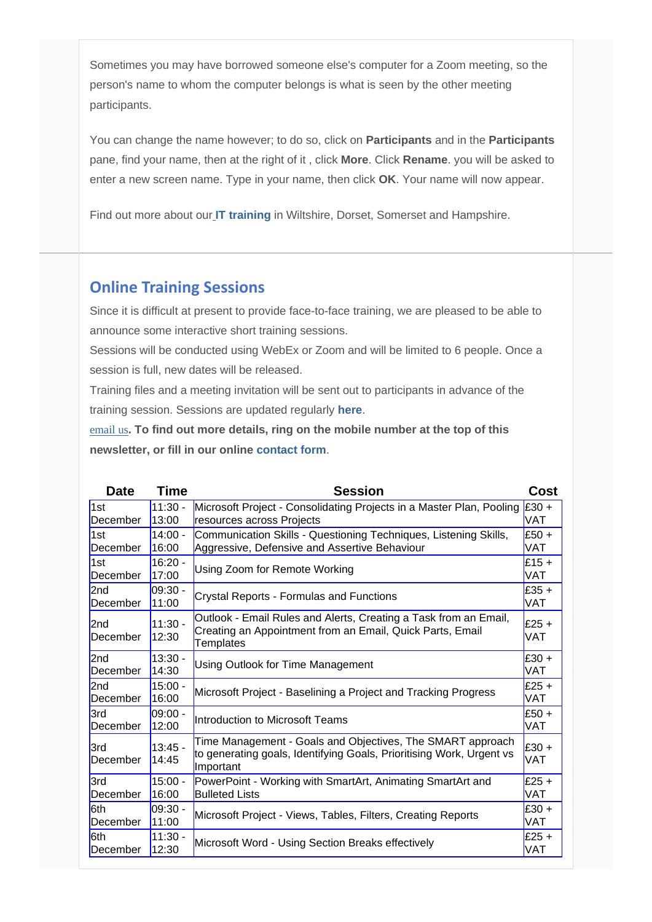Sometimes you may have borrowed someone else's computer for a Zoom meeting, so the person's name to whom the computer belongs is what is seen by the other meeting participants.

You can change the name however; to do so, click on **Participants** and in the **Participants**  pane, find your name, then at the right of it , click **More**. Click **Rename**. you will be asked to enter a new screen name. Type in your name, then click **OK**. Your name will now appear.

Find out more about ou[r](http://www.archwayct.co.uk/) **[IT training](http://www.archwayct.co.uk/)** in Wiltshire, Dorset, Somerset and Hampshire.

# **Online Training Sessions**

Since it is difficult at present to provide face-to-face training, we are pleased to be able to announce some interactive short training sessions.

Sessions will be conducted using WebEx or Zoom and will be limited to 6 people. Once a session is full, new dates will be released.

Training files and a meeting invitation will be sent out to participants in advance of the training session. Sessions are updated regularly **[here](http://www.archwayct.co.uk/online-training)**.

[email us](mailto:janet@archwayct.co.uk?subject=Online%20training)**. To find out more details, ring on the mobile number at the top of this newsletter, or fill in our online [contact form](http://www.archwayct.co.uk/contact)**.

| <b>Date</b>                 | <b>Time</b>        | <b>Session</b>                                                                                                                                    | <b>Cost</b>    |
|-----------------------------|--------------------|---------------------------------------------------------------------------------------------------------------------------------------------------|----------------|
| 1st                         | $11:30 -$          | Microsoft Project - Consolidating Projects in a Master Plan, Pooling                                                                              | $E30 +$        |
| <b>December</b>             | 13:00              | resources across Projects                                                                                                                         | VAT            |
| 1st                         | $14:00 -$          | Communication Skills - Questioning Techniques, Listening Skills,                                                                                  | $E50 +$        |
| December                    | 16:00              | Aggressive, Defensive and Assertive Behaviour                                                                                                     | VAT            |
| 1st                         | $16:20 -$          | Using Zoom for Remote Working                                                                                                                     | $£15 +$        |
| December                    | 17:00              |                                                                                                                                                   | <b>VAT</b>     |
| 2 <sub>nd</sub>             | $09:30 -$          | <b>Crystal Reports - Formulas and Functions</b>                                                                                                   | $E35+$         |
| December                    | 11:00              |                                                                                                                                                   | <b>VAT</b>     |
| 2 <sub>nd</sub><br>December | $11:30 -$<br>12:30 | Outlook - Email Rules and Alerts, Creating a Task from an Email,<br>Creating an Appointment from an Email, Quick Parts, Email<br><b>Templates</b> | $£25 +$<br>VAT |
| 2 <sub>nd</sub>             | $13:30 -$          | Using Outlook for Time Management                                                                                                                 | $£30 +$        |
| December                    | 14:30              |                                                                                                                                                   | <b>VAT</b>     |
| 2 <sub>nd</sub>             | $15:00 -$          | Microsoft Project - Baselining a Project and Tracking Progress                                                                                    | $£25 +$        |
| December                    | 16:00              |                                                                                                                                                   | VAT            |
| 3rd                         | $09:00 -$          | Introduction to Microsoft Teams                                                                                                                   | $£50+$         |
| December                    | 12:00              |                                                                                                                                                   | VAT            |
| 3rd<br>December             | $13:45 -$<br>14:45 | Time Management - Goals and Objectives, The SMART approach<br>to generating goals, Identifying Goals, Prioritising Work, Urgent vs<br>Important   | $£30 +$<br>VAT |
| 3rd                         | $15:00 -$          | PowerPoint - Working with SmartArt, Animating SmartArt and                                                                                        | $£25 +$        |
| December                    | 16:00              | <b>Bulleted Lists</b>                                                                                                                             | VAT            |
| 6th                         | 09:30 -            | Microsoft Project - Views, Tables, Filters, Creating Reports                                                                                      | $£30 +$        |
| December                    | 11:00              |                                                                                                                                                   | VAT            |
| l6th                        | $11:30 -$          | Microsoft Word - Using Section Breaks effectively                                                                                                 | $£25 +$        |
| December                    | 12:30              |                                                                                                                                                   | VAT            |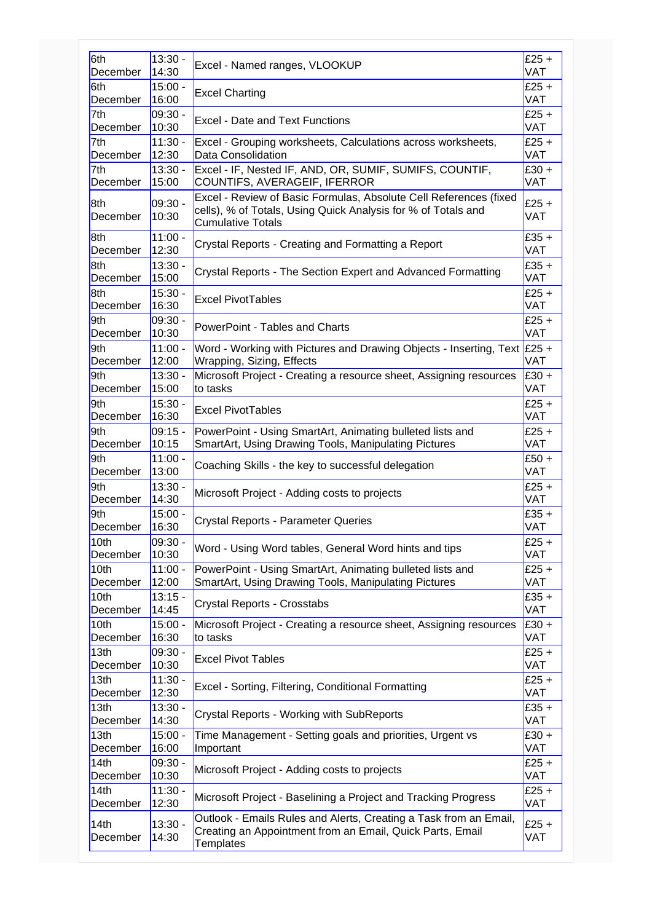| 6th              | $13:30 -$          | Excel - Named ranges, VLOOKUP                                                                                                                                  | $£25 +$               |
|------------------|--------------------|----------------------------------------------------------------------------------------------------------------------------------------------------------------|-----------------------|
| December         | 14:30              |                                                                                                                                                                | <b>VAT</b>            |
| 6th              | $15:00 -$          | <b>Excel Charting</b>                                                                                                                                          | $£25 +$               |
| December         | 16:00              |                                                                                                                                                                | <b>VAT</b>            |
| 7th              | 09:30 -            | <b>Excel - Date and Text Functions</b>                                                                                                                         | $£25 +$               |
| December         | 10:30              |                                                                                                                                                                | <b>VAT</b>            |
| 7th              | $11:30 -$          | Excel - Grouping worksheets, Calculations across worksheets,                                                                                                   | $£25 +$               |
| December         | 12:30              | Data Consolidation                                                                                                                                             | <b>VAT</b>            |
| 7th              | $13:30 -$          | Excel - IF, Nested IF, AND, OR, SUMIF, SUMIFS, COUNTIF,                                                                                                        | $£30 +$               |
| December         | 15:00              | COUNTIFS, AVERAGEIF, IFERROR                                                                                                                                   | <b>VAT</b>            |
| 8th<br>December  | 09:30 -<br>10:30   | Excel - Review of Basic Formulas, Absolute Cell References (fixed<br>cells), % of Totals, Using Quick Analysis for % of Totals and<br><b>Cumulative Totals</b> | $£25 +$<br><b>VAT</b> |
| 8th              | $11:00 -$          | Crystal Reports - Creating and Formatting a Report                                                                                                             | $£35 +$               |
| December         | 12:30              |                                                                                                                                                                | <b>VAT</b>            |
| 8th              | $13:30 -$          | Crystal Reports - The Section Expert and Advanced Formatting                                                                                                   | $£35 +$               |
| December         | 15:00              |                                                                                                                                                                | <b>VAT</b>            |
| 8th              | $15:30 -$          | <b>Excel PivotTables</b>                                                                                                                                       | £25 +                 |
| December         | 16:30              |                                                                                                                                                                | <b>VAT</b>            |
| 9th              | 09:30 -            | PowerPoint - Tables and Charts                                                                                                                                 | $£25 +$               |
| December         | 10:30              |                                                                                                                                                                | <b>VAT</b>            |
| 9th              | $11:00 -$          | Word - Working with Pictures and Drawing Objects - Inserting, Text £25 +                                                                                       | VAT                   |
| December         | 12:00              | Wrapping, Sizing, Effects                                                                                                                                      |                       |
| 9th              | $13:30 -$          | Microsoft Project - Creating a resource sheet, Assigning resources                                                                                             | $£30 +$               |
| December         | 15:00              | to tasks                                                                                                                                                       | VAT                   |
| 9th              | $15:30 -$          | <b>Excel PivotTables</b>                                                                                                                                       | $£25 +$               |
| December         | 16:30              |                                                                                                                                                                | <b>VAT</b>            |
| 9th              | 09:15 -            | PowerPoint - Using SmartArt, Animating bulleted lists and                                                                                                      | $£25 +$               |
| December         | 10:15              | SmartArt, Using Drawing Tools, Manipulating Pictures                                                                                                           | <b>VAT</b>            |
| 9th              | $11:00 -$          | Coaching Skills - the key to successful delegation                                                                                                             | $£50+$                |
| December         | 13:00              |                                                                                                                                                                | <b>VAT</b>            |
| 9th              | $13:30 -$          | Microsoft Project - Adding costs to projects                                                                                                                   | $£25 +$               |
| December         | 14:30              |                                                                                                                                                                | VAT                   |
| 9th              | $15:00 -$          | <b>Crystal Reports - Parameter Queries</b>                                                                                                                     | $£35 +$               |
| December         | 16:30              |                                                                                                                                                                | <b>VAT</b>            |
| 10th             | 09:30 -            | Word - Using Word tables, General Word hints and tips                                                                                                          | $£25 +$               |
| December         | 10:30              |                                                                                                                                                                | <b>VAT</b>            |
| 10th             | $11:00 -$          | PowerPoint - Using SmartArt, Animating bulleted lists and                                                                                                      | $£25 +$               |
| December         | 12:00              | SmartArt, Using Drawing Tools, Manipulating Pictures                                                                                                           | VAT                   |
| 10th             | $13:15 -$          | Crystal Reports - Crosstabs                                                                                                                                    | $£35 +$               |
| December         | 14:45              |                                                                                                                                                                | VAT                   |
| 10th             | $15:00 -$          | Microsoft Project - Creating a resource sheet, Assigning resources                                                                                             | $£30 +$               |
| December         | 16:30              | to tasks                                                                                                                                                       | VAT                   |
| 13th             | 09:30 -            | <b>Excel Pivot Tables</b>                                                                                                                                      | $£25 +$               |
| December         | 10:30              |                                                                                                                                                                | VAT                   |
| 13th             | $11:30 -$          | Excel - Sorting, Filtering, Conditional Formatting                                                                                                             | $£25 +$               |
| December         | 12:30              |                                                                                                                                                                | VAT                   |
| 13th             | $13:30 -$          | Crystal Reports - Working with SubReports                                                                                                                      | $£35 +$               |
| December         | 14:30              |                                                                                                                                                                | VAT                   |
| 13th             | $15:00 -$          | Time Management - Setting goals and priorities, Urgent vs                                                                                                      | $£30 +$               |
| December         | 16:00              | Important                                                                                                                                                      | VAT                   |
| 14th             | $09:30 -$          | Microsoft Project - Adding costs to projects                                                                                                                   | £25 $+$               |
| December         | 10:30              |                                                                                                                                                                | VAT                   |
| 14th             | $11:30 -$          | Microsoft Project - Baselining a Project and Tracking Progress                                                                                                 | £25 $+$               |
| December         | 12:30              |                                                                                                                                                                | VAT                   |
| 14th<br>December | $13:30 -$<br>14:30 | Outlook - Emails Rules and Alerts, Creating a Task from an Email,<br>Creating an Appointment from an Email, Quick Parts, Email<br>Templates                    | $£25 +$<br>VAT        |